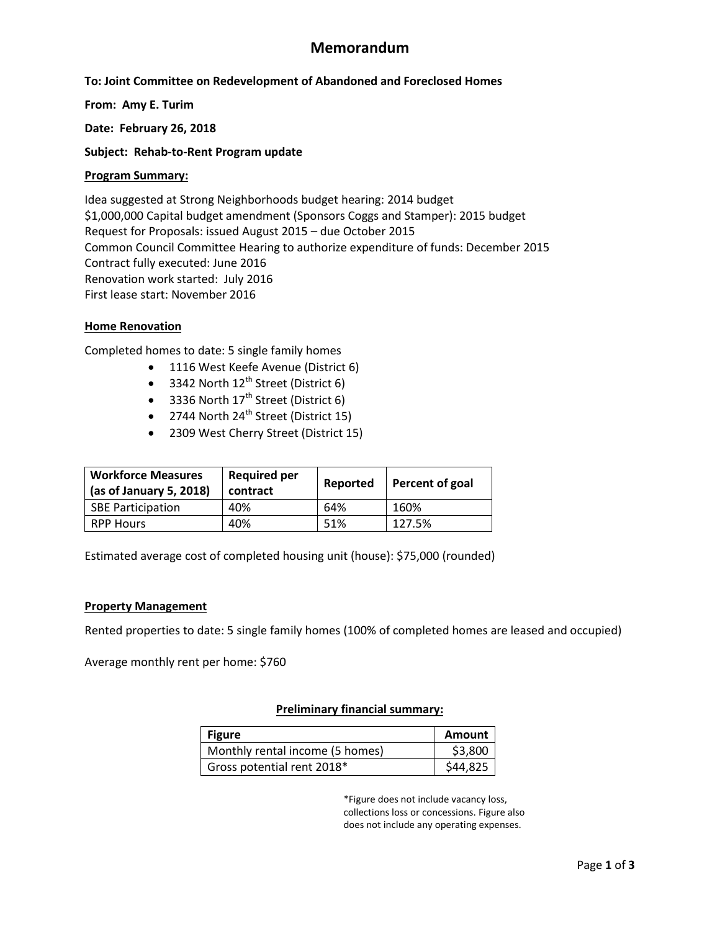# **Memorandum**

## **To: Joint Committee on Redevelopment of Abandoned and Foreclosed Homes**

**From: Amy E. Turim**

**Date: February 26, 2018**

**Subject: Rehab-to-Rent Program update**

#### **Program Summary:**

Idea suggested at Strong Neighborhoods budget hearing: 2014 budget \$1,000,000 Capital budget amendment (Sponsors Coggs and Stamper): 2015 budget Request for Proposals: issued August 2015 – due October 2015 Common Council Committee Hearing to authorize expenditure of funds: December 2015 Contract fully executed: June 2016 Renovation work started: July 2016 First lease start: November 2016

### **Home Renovation**

Completed homes to date: 5 single family homes

- 1116 West Keefe Avenue (District 6)
- $\bullet$  3342 North 12<sup>th</sup> Street (District 6)
- 3336 North  $17<sup>th</sup>$  Street (District 6)
- $\bullet$  2744 North 24<sup>th</sup> Street (District 15)
- 2309 West Cherry Street (District 15)

| <b>Workforce Measures</b><br>(as of January 5, 2018) | <b>Required per</b><br>contract | Reported | Percent of goal |
|------------------------------------------------------|---------------------------------|----------|-----------------|
| <b>SBE Participation</b>                             | 40%                             | 64%      | 160%            |
| <b>RPP Hours</b>                                     | 40%                             | 51%      | 127.5%          |

Estimated average cost of completed housing unit (house): \$75,000 (rounded)

#### **Property Management**

Rented properties to date: 5 single family homes (100% of completed homes are leased and occupied)

Average monthly rent per home: \$760

#### **Preliminary financial summary:**

| <b>Figure</b>                   | <b>Amount</b> |
|---------------------------------|---------------|
| Monthly rental income (5 homes) | \$3,800       |
| Gross potential rent 2018*      | \$44,825      |

\*Figure does not include vacancy loss, collections loss or concessions. Figure also does not include any operating expenses.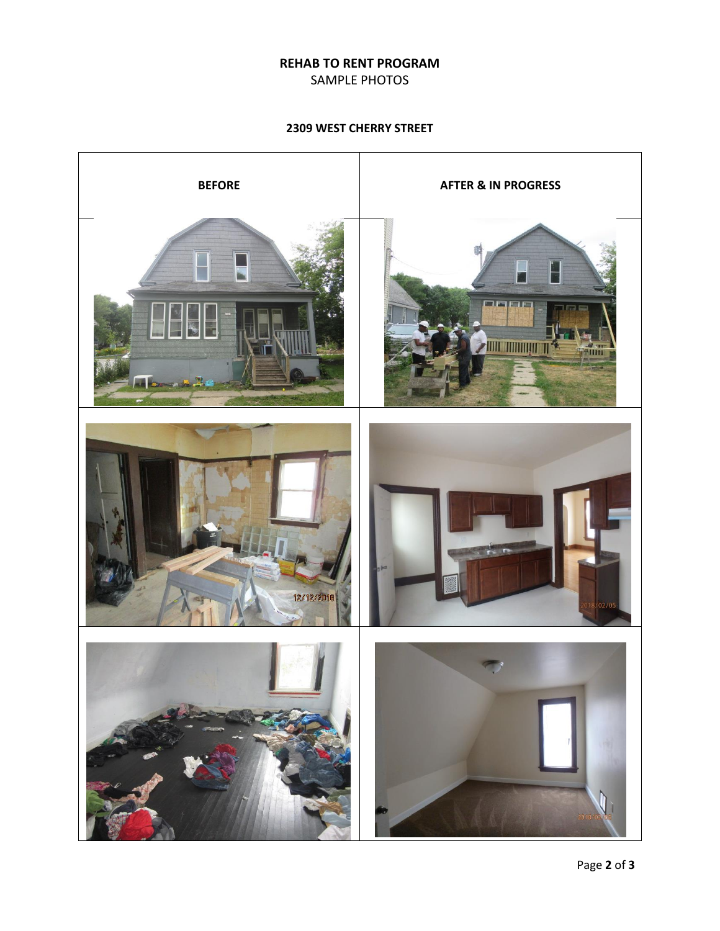### **REHAB TO RENT PROGRAM**

SAMPLE PHOTOS

**2309 WEST CHERRY STREET**